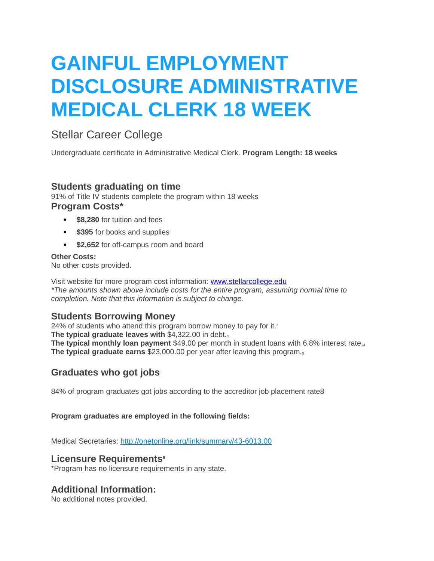# **GAINFUL EMPLOYMENT DISCLOSURE ADMINISTRATIVE MEDICAL CLERK 18 WEEK**

# Stellar Career College

Undergraduate certificate in Administrative Medical Clerk. **Program Length: 18 weeks**

# **Students graduating on time**

91% of Title IV students complete the program within 18 weeks **Program Costs\***

- **\$8,280** for tuition and fees
- $\bullet$  **\$395** for books and supplies
- **\$2,652** for off-campus room and board

### **Other Costs:**

No other costs provided.

Visit website for more program cost information: [www.stellarcollege.edu](http://www.stellarcollege.edu/) *\*The amounts shown above include costs for the entire program, assuming normal time to completion. Note that this information is subject to change.*

# **Students Borrowing Money**

24% of students who attend this program borrow money to pay for it.<sup>2</sup> **The typical graduate leaves with** \$4,322.00 in debt.<sup>3</sup> **The typical monthly loan payment** \$49.00 per month in student loans with 6.8% interest rate.<sub>4</sub> **The typical graduate earns** \$23,000.00 per year after leaving this program.<sub>5</sub>

# **Graduates who got jobs**

84% of program graduates got jobs according to the accreditor job placement rate8

#### **Program graduates are employed in the following fields:**

Medical Secretaries: <http://onetonline.org/link/summary/43-6013.00>

## **Licensure Requirements<sup>6</sup>**

\*Program has no licensure requirements in any state.

# **Additional Information:**

No additional notes provided.